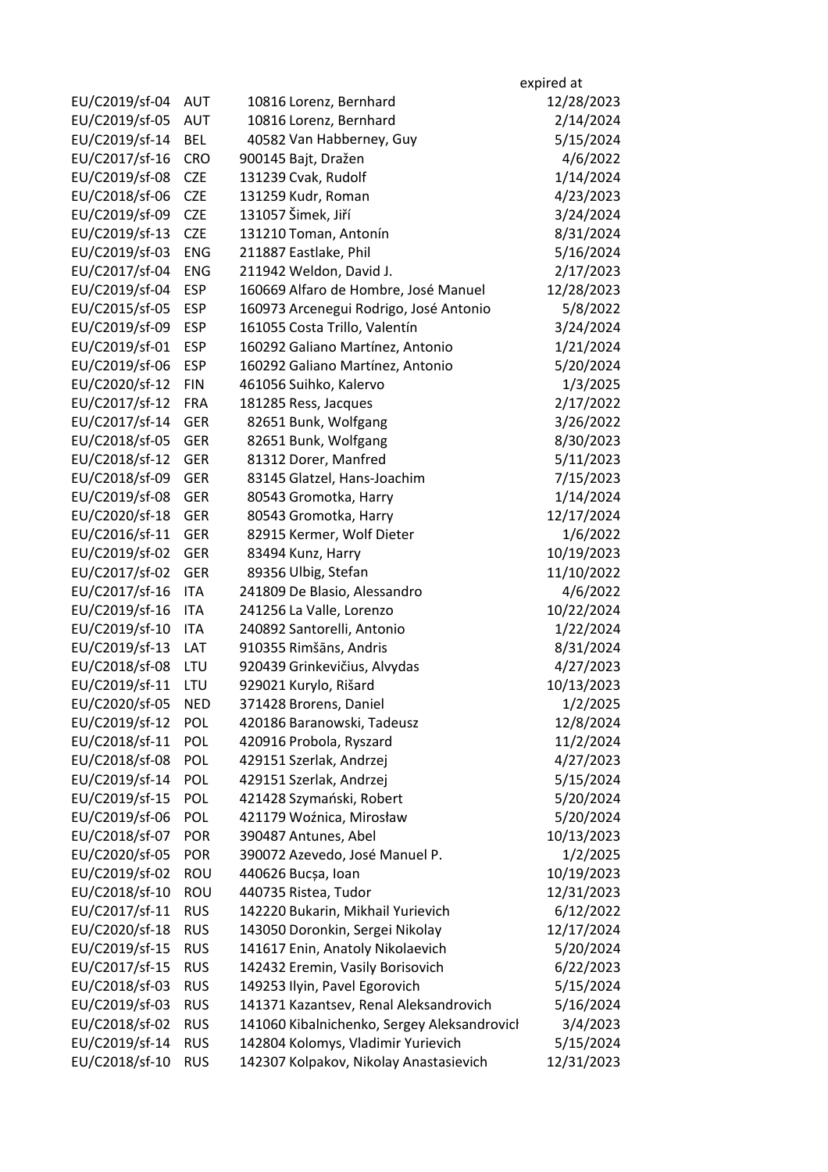|                                  |                          |                                                      | expired at |
|----------------------------------|--------------------------|------------------------------------------------------|------------|
| EU/C2019/sf-04                   | <b>AUT</b>               | 10816 Lorenz, Bernhard                               | 12/28/2023 |
| EU/C2019/sf-05                   | <b>AUT</b>               | 10816 Lorenz, Bernhard                               | 2/14/2024  |
| EU/C2019/sf-14                   | <b>BEL</b>               | 40582 Van Habberney, Guy                             | 5/15/2024  |
| EU/C2017/sf-16                   | <b>CRO</b>               | 900145 Bajt, Dražen                                  | 4/6/2022   |
| EU/C2019/sf-08                   | <b>CZE</b>               | 131239 Cvak, Rudolf                                  | 1/14/2024  |
| EU/C2018/sf-06                   | <b>CZE</b>               | 131259 Kudr, Roman                                   | 4/23/2023  |
| EU/C2019/sf-09                   | <b>CZE</b>               | 131057 Šimek, Jiří                                   | 3/24/2024  |
| EU/C2019/sf-13                   | <b>CZE</b>               | 131210 Toman, Antonín                                | 8/31/2024  |
| EU/C2019/sf-03                   | <b>ENG</b>               | 211887 Eastlake, Phil                                | 5/16/2024  |
| EU/C2017/sf-04                   | <b>ENG</b>               | 211942 Weldon, David J.                              | 2/17/2023  |
| EU/C2019/sf-04                   | <b>ESP</b>               | 160669 Alfaro de Hombre, José Manuel                 | 12/28/2023 |
| EU/C2015/sf-05                   | <b>ESP</b>               | 160973 Arcenegui Rodrigo, José Antonio               | 5/8/2022   |
| EU/C2019/sf-09                   | <b>ESP</b>               | 161055 Costa Trillo, Valentín                        | 3/24/2024  |
| EU/C2019/sf-01                   | <b>ESP</b>               | 160292 Galiano Martínez, Antonio                     | 1/21/2024  |
| EU/C2019/sf-06                   | <b>ESP</b>               | 160292 Galiano Martínez, Antonio                     | 5/20/2024  |
| EU/C2020/sf-12                   | <b>FIN</b>               | 461056 Suihko, Kalervo                               | 1/3/2025   |
| EU/C2017/sf-12                   | <b>FRA</b>               | 181285 Ress, Jacques                                 | 2/17/2022  |
| EU/C2017/sf-14                   | <b>GER</b>               | 82651 Bunk, Wolfgang                                 | 3/26/2022  |
| EU/C2018/sf-05                   | <b>GER</b>               | 82651 Bunk, Wolfgang                                 | 8/30/2023  |
| EU/C2018/sf-12                   | <b>GER</b>               | 81312 Dorer, Manfred                                 | 5/11/2023  |
| EU/C2018/sf-09                   | <b>GER</b>               | 83145 Glatzel, Hans-Joachim                          | 7/15/2023  |
| EU/C2019/sf-08                   | <b>GER</b>               |                                                      | 1/14/2024  |
| EU/C2020/sf-18                   | <b>GER</b>               | 80543 Gromotka, Harry                                | 12/17/2024 |
|                                  |                          | 80543 Gromotka, Harry                                |            |
| EU/C2016/sf-11                   | <b>GER</b><br><b>GER</b> | 82915 Kermer, Wolf Dieter                            | 1/6/2022   |
| EU/C2019/sf-02<br>EU/C2017/sf-02 |                          | 83494 Kunz, Harry                                    | 10/19/2023 |
| EU/C2017/sf-16                   | <b>GER</b><br><b>ITA</b> | 89356 Ulbig, Stefan                                  | 11/10/2022 |
|                                  |                          | 241809 De Blasio, Alessandro                         | 4/6/2022   |
| EU/C2019/sf-16                   | <b>ITA</b><br><b>ITA</b> | 241256 La Valle, Lorenzo                             | 10/22/2024 |
| EU/C2019/sf-10                   | LAT                      | 240892 Santorelli, Antonio<br>910355 Rimšāns, Andris | 1/22/2024  |
| EU/C2019/sf-13<br>EU/C2018/sf-08 |                          |                                                      | 8/31/2024  |
|                                  | LTU                      | 920439 Grinkevičius, Alvydas                         | 4/27/2023  |
| EU/C2019/sf-11                   | LTU                      | 929021 Kurylo, Rišard                                | 10/13/2023 |
| EU/C2020/sf-05                   | <b>NED</b>               | 371428 Brorens, Daniel                               | 1/2/2025   |
| EU/C2019/sf-12                   | <b>POL</b>               | 420186 Baranowski, Tadeusz                           | 12/8/2024  |
| EU/C2018/sf-11                   | <b>POL</b>               | 420916 Probola, Ryszard                              | 11/2/2024  |
| EU/C2018/sf-08                   | POL                      | 429151 Szerlak, Andrzej                              | 4/27/2023  |
| EU/C2019/sf-14                   | POL                      | 429151 Szerlak, Andrzej                              | 5/15/2024  |
| EU/C2019/sf-15                   | <b>POL</b>               | 421428 Szymański, Robert                             | 5/20/2024  |
| EU/C2019/sf-06                   | <b>POL</b>               | 421179 Woźnica, Mirosław                             | 5/20/2024  |
| EU/C2018/sf-07                   | <b>POR</b>               | 390487 Antunes, Abel                                 | 10/13/2023 |
| EU/C2020/sf-05                   | <b>POR</b>               | 390072 Azevedo, José Manuel P.                       | 1/2/2025   |
| EU/C2019/sf-02                   | <b>ROU</b>               | 440626 Bucșa, Ioan                                   | 10/19/2023 |
| EU/C2018/sf-10                   | <b>ROU</b>               | 440735 Ristea, Tudor                                 | 12/31/2023 |
| EU/C2017/sf-11                   | <b>RUS</b>               | 142220 Bukarin, Mikhail Yurievich                    | 6/12/2022  |
| EU/C2020/sf-18                   | <b>RUS</b>               | 143050 Doronkin, Sergei Nikolay                      | 12/17/2024 |
| EU/C2019/sf-15                   | <b>RUS</b>               | 141617 Enin, Anatoly Nikolaevich                     | 5/20/2024  |
| EU/C2017/sf-15                   | <b>RUS</b>               | 142432 Eremin, Vasily Borisovich                     | 6/22/2023  |
| EU/C2018/sf-03                   | <b>RUS</b>               | 149253 Ilyin, Pavel Egorovich                        | 5/15/2024  |
| EU/C2019/sf-03                   | <b>RUS</b>               | 141371 Kazantsev, Renal Aleksandrovich               | 5/16/2024  |
| EU/C2018/sf-02                   | <b>RUS</b>               | 141060 Kibalnichenko, Sergey Aleksandrovich          | 3/4/2023   |
| EU/C2019/sf-14                   | <b>RUS</b>               | 142804 Kolomys, Vladimir Yurievich                   | 5/15/2024  |
| EU/C2018/sf-10                   | <b>RUS</b>               | 142307 Kolpakov, Nikolay Anastasievich               | 12/31/2023 |